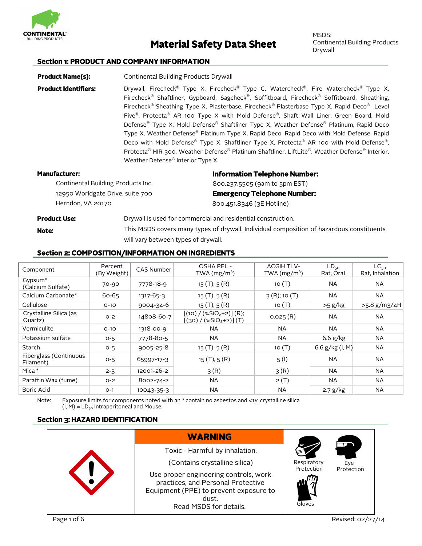

# **Material Safety Data Sheet**

MSDS: Continental Building Products Drywall

#### **Section 1: PRODUCT AND COMPANY INFORMATION**

**Product Name(s):** Continental Building Products Drywall **Product Identifiers:** Drywall, Firecheck® Type X, Firecheck® Type C, Watercheck® , Fire Watercheck® Type X, Firecheck® Shaftliner, Gypboard, Sagcheck® , Soffitboard, Firecheck® Soffitboard, Sheathing, Firecheck® Sheathing Type X, Plasterbase, Firecheck® Plasterbase Type X, Rapid Deco® Level Five®, Protecta® AR 100 Type X with Mold Defense®, Shaft Wall Liner, Green Board, Mold Defense® Type X, Mold Defense® Shaftliner Type X, Weather Defense® Platinum, Rapid Deco Type X, Weather Defense® Platinum Type X, Rapid Deco, Rapid Deco with Mold Defense, Rapid Deco with Mold Defense® Type X, Shaftliner Type X, Protecta® AR 100 with Mold Defense®, Protecta® HIR 300, Weather Defense® Platinum Shaftliner, LiftLite®, Weather Defense® Interior, Weather Defense® Interior Type X. **Manufacturer: Information Telephone Number:** 

| anuracturer.                       | <b>INTOFFICIATION TELEPHONE NUMBER:</b> |
|------------------------------------|-----------------------------------------|
| Continental Building Products Inc. | 800.237.5505 (9am to 5pm EST)           |
| 12950 Worldgate Drive, suite 700   | <b>Emergency Telephone Number:</b>      |
| Herndon, VA 20170                  | 800.451.8346 (3E Hotline)               |

#### **Product Use:**

Drywall is used for commercial and residential construction. This MSDS covers many types of drywall. Individual composition of hazardous constituents will vary between types of drywall.

# **Section 2: COMPOSITION/INFORMATION ON INGREDIENTS**

| Component                                | Percent<br>(By Weight) | <b>CAS Number</b> | OSHA PEL -<br>TWA $(mg/m3)$                          | <b>ACGIH TLV-</b><br>TWA $(mg/m3)$ | $LD_{50}$<br>Rat, Oral | $LC_{50}$<br>Rat, Inhalation |
|------------------------------------------|------------------------|-------------------|------------------------------------------------------|------------------------------------|------------------------|------------------------------|
| Gypsum <sup>*</sup><br>(Calcium Sulfate) | 70-90                  | 7778-18-9         | 15(T), 5(R)                                          | 10 $(T)$                           | <b>NA</b>              | NA.                          |
| Calcium Carbonate*                       | 60-65                  | $1317 - 65 - 3$   | 15(T), 5(R)                                          | $3(R)$ ; 10 $(T)$                  | <b>NA</b>              | <b>NA</b>                    |
| Cellulose                                | $O-1O$                 | $9004 - 34 - 6$   | 15(T), 5(R)                                          | 10 $(T)$                           | $>5$ g/kg              | >5.8 g/m3/4H                 |
| Crystalline Silica (as<br>Quartz)        | $O - 2$                | 14808-60-7        | $[(10) / (*SiO2+2)] (R);$<br>$[(30) / (*SiO2+2)](T)$ | 0.025(R)                           | <b>NA</b>              | <b>NA</b>                    |
| Vermiculite                              | $O-1O$                 | 1318-00-9         | <b>NA</b>                                            | <b>NA</b>                          | <b>NA</b>              | <b>NA</b>                    |
| Potassium sulfate                        | $O - 5$                | 7778-80-5         | <b>NA</b>                                            | <b>NA</b>                          | $6.6$ g/kg             | <b>NA</b>                    |
| Starch                                   | $O - 5$                | $9005 - 25 - 8$   | 15(T), 5(R)                                          | 10(T)                              | 6.6 $g/kg$ (I, M)      | <b>NA</b>                    |
| Fiberglass (Continuous<br>Filament)      | $O-5$                  | 65997-17-3        | 15(T), 5(R)                                          | 5(1)                               | <b>NA</b>              | <b>NA</b>                    |
| Mica *                                   | $2 - 3$                | 12001-26-2        | 3(R)                                                 | 3(R)                               | <b>NA</b>              | <b>NA</b>                    |
| Paraffin Wax (fume)                      | $O - 2$                | 8002-74-2         | <b>NA</b>                                            | 2(T)                               | <b>NA</b>              | <b>NA</b>                    |
| Boric Acid                               | $O-1$                  | 10043-35-3        | <b>NA</b>                                            | <b>NA</b>                          | 2.7 g/kg               | NA.                          |

Note: Exposure limits for components noted with an  $*$  contain no asbestos and <1% crystalline silica  $(I, M) = LD_{50}$  Intraperitoneal and Mouse

# **Section 3: HAZARD IDENTIFICATION**



**Note:**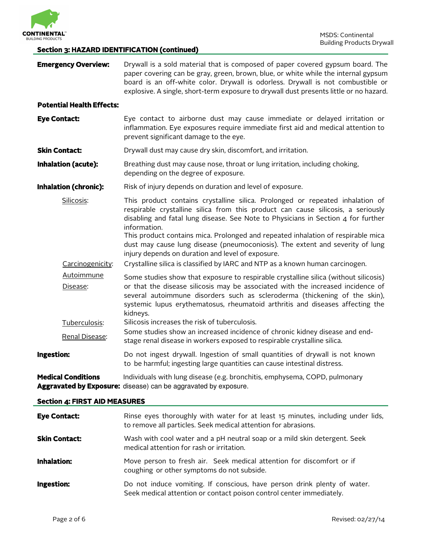

# **Section 3: HAZARD IDENTIFICATION (continued)**

| <b>Emergency Overview:</b>           | Drywall is a sold material that is composed of paper covered gypsum board. The<br>paper covering can be gray, green, brown, blue, or white while the internal gypsum<br>board is an off-white color. Drywall is odorless. Drywall is not combustible or<br>explosive. A single, short-term exposure to drywall dust presents little or no hazard.          |  |  |  |
|--------------------------------------|------------------------------------------------------------------------------------------------------------------------------------------------------------------------------------------------------------------------------------------------------------------------------------------------------------------------------------------------------------|--|--|--|
| <b>Potential Health Effects:</b>     |                                                                                                                                                                                                                                                                                                                                                            |  |  |  |
| <b>Eye Contact:</b>                  | Eye contact to airborne dust may cause immediate or delayed irritation or<br>inflammation. Eye exposures require immediate first aid and medical attention to<br>prevent significant damage to the eye.                                                                                                                                                    |  |  |  |
| <b>Skin Contact:</b>                 | Drywall dust may cause dry skin, discomfort, and irritation.                                                                                                                                                                                                                                                                                               |  |  |  |
| <b>Inhalation (acute):</b>           | Breathing dust may cause nose, throat or lung irritation, including choking,<br>depending on the degree of exposure.                                                                                                                                                                                                                                       |  |  |  |
| <b>Inhalation (chronic):</b>         | Risk of injury depends on duration and level of exposure.                                                                                                                                                                                                                                                                                                  |  |  |  |
| Silicosis:                           | This product contains crystalline silica. Prolonged or repeated inhalation of<br>respirable crystalline silica from this product can cause silicosis, a seriously<br>disabling and fatal lung disease. See Note to Physicians in Section 4 for further<br>information.<br>This product contains mica. Prolonged and repeated inhalation of respirable mica |  |  |  |
|                                      | dust may cause lung disease (pneumoconiosis). The extent and severity of lung<br>injury depends on duration and level of exposure.                                                                                                                                                                                                                         |  |  |  |
| Carcinogenicity:                     | Crystalline silica is classified by IARC and NTP as a known human carcinogen.                                                                                                                                                                                                                                                                              |  |  |  |
| Autoimmune<br>Disease:               | Some studies show that exposure to respirable crystalline silica (without silicosis)<br>or that the disease silicosis may be associated with the increased incidence of<br>several autoimmune disorders such as scleroderma (thickening of the skin),<br>systemic lupus erythematosus, rheumatoid arthritis and diseases affecting the<br>kidneys.         |  |  |  |
| Tuberculosis:<br>Renal Disease:      | Silicosis increases the risk of tuberculosis.<br>Some studies show an increased incidence of chronic kidney disease and end-<br>stage renal disease in workers exposed to respirable crystalline silica.                                                                                                                                                   |  |  |  |
| Ingestion:                           | Do not ingest drywall. Ingestion of small quantities of drywall is not known<br>to be harmful; ingesting large quantities can cause intestinal distress.                                                                                                                                                                                                   |  |  |  |
| <b>Medical Conditions</b>            | Individuals with lung disease (e.g. bronchitis, emphysema, COPD, pulmonary<br>Aggravated by Exposure: disease) can be aggravated by exposure.                                                                                                                                                                                                              |  |  |  |
| <b>Section 4: FIRST AID MEASURES</b> |                                                                                                                                                                                                                                                                                                                                                            |  |  |  |
| <b>Eye Contact:</b>                  | Rinse eyes thoroughly with water for at least 15 minutes, including under lids,<br>to remove all particles. Seek medical attention for abrasions.                                                                                                                                                                                                          |  |  |  |
| <b>Skin Contact:</b>                 | Wash with cool water and a pH neutral soap or a mild skin detergent. Seek<br>medical attention for rash or irritation.                                                                                                                                                                                                                                     |  |  |  |
| <b>Inhalation:</b>                   | Move person to fresh air. Seek medical attention for discomfort or if<br>coughing or other symptoms do not subside.                                                                                                                                                                                                                                        |  |  |  |
| Ingestion:                           | Do not induce vomiting. If conscious, have person drink plenty of water.<br>Seek medical attention or contact poison control center immediately.                                                                                                                                                                                                           |  |  |  |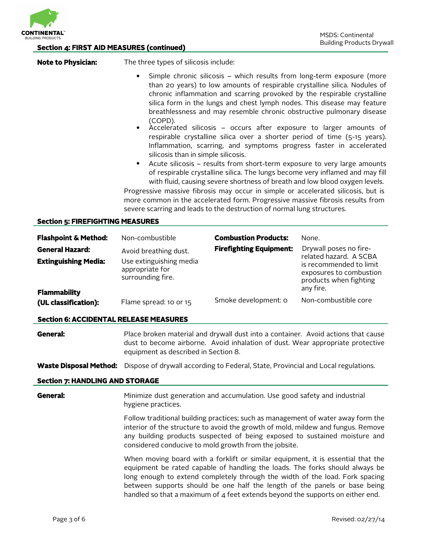

| <b>Section 4: FIRST AID MEASURES (continued)</b> |                                                                                                                                                                                                                                                                                                                                                                                                                                                                                                         |                                | <b>Bullding Products Drywa</b>                                                            |  |
|--------------------------------------------------|---------------------------------------------------------------------------------------------------------------------------------------------------------------------------------------------------------------------------------------------------------------------------------------------------------------------------------------------------------------------------------------------------------------------------------------------------------------------------------------------------------|--------------------------------|-------------------------------------------------------------------------------------------|--|
| <b>Note to Physician:</b>                        | The three types of silicosis include:                                                                                                                                                                                                                                                                                                                                                                                                                                                                   |                                |                                                                                           |  |
|                                                  | Simple chronic silicosis - which results from long-term exposure (more<br>than 20 years) to low amounts of respirable crystalline silica. Nodules of<br>chronic inflammation and scarring provoked by the respirable crystalline<br>silica form in the lungs and chest lymph nodes. This disease may feature<br>breathlessness and may resemble chronic obstructive pulmonary disease<br>(COPD).                                                                                                        |                                |                                                                                           |  |
|                                                  | Accelerated silicosis – occurs after exposure to larger amounts of<br>respirable crystalline silica over a shorter period of time (5-15 years).<br>Inflammation, scarring, and symptoms progress faster in accelerated<br>silicosis than in simple silicosis.                                                                                                                                                                                                                                           |                                |                                                                                           |  |
|                                                  | Acute silicosis - results from short-term exposure to very large amounts<br>$\bullet$<br>of respirable crystalline silica. The lungs become very inflamed and may fill<br>with fluid, causing severe shortness of breath and low blood oxygen levels.<br>Progressive massive fibrosis may occur in simple or accelerated silicosis, but is<br>more common in the accelerated form. Progressive massive fibrosis results from<br>severe scarring and leads to the destruction of normal lung structures. |                                |                                                                                           |  |
| <b>Section 5: FIREFIGHTING MEASURES</b>          |                                                                                                                                                                                                                                                                                                                                                                                                                                                                                                         |                                |                                                                                           |  |
| <b>Flashpoint &amp; Method:</b>                  | Non-combustible                                                                                                                                                                                                                                                                                                                                                                                                                                                                                         | <b>Combustion Products:</b>    | None.                                                                                     |  |
| <b>General Hazard:</b>                           | Avoid breathing dust.                                                                                                                                                                                                                                                                                                                                                                                                                                                                                   | <b>Firefighting Equipment:</b> | Drywall poses no fire-<br>related hazard. A SCBA                                          |  |
| <b>Extinguishing Media:</b>                      | Use extinguishing media<br>appropriate for<br>surrounding fire.                                                                                                                                                                                                                                                                                                                                                                                                                                         |                                | is recommended to limit<br>exposures to combustion<br>products when fighting<br>any fire. |  |
| <b>Flammability</b><br>(UL classification):      | Flame spread: 10 or 15                                                                                                                                                                                                                                                                                                                                                                                                                                                                                  | Smoke development: o           | Non-combustible core                                                                      |  |
| <b>Section 6: ACCIDENTAL RELEASE MEASURES</b>    |                                                                                                                                                                                                                                                                                                                                                                                                                                                                                                         |                                |                                                                                           |  |
| General:                                         | Place broken material and drywall dust into a container. Avoid actions that cause<br>dust to become airborne. Avoid inhalation of dust. Wear appropriate protective<br>equipment as described in Section 8.                                                                                                                                                                                                                                                                                             |                                |                                                                                           |  |
| <b>Waste Disposal Method:</b>                    | Dispose of drywall according to Federal, State, Provincial and Local regulations.                                                                                                                                                                                                                                                                                                                                                                                                                       |                                |                                                                                           |  |
| <b>Section 7: HANDLING AND STORAGE</b>           |                                                                                                                                                                                                                                                                                                                                                                                                                                                                                                         |                                |                                                                                           |  |
| General:                                         | Minimize dust generation and accumulation. Use good safety and industrial<br>hygiene practices.                                                                                                                                                                                                                                                                                                                                                                                                         |                                |                                                                                           |  |
|                                                  | Follow traditional building practices; such as management of water away form the<br>interior of the structure to avoid the growth of mold, mildew and fungus. Remove<br>any building products suspected of being exposed to sustained moisture and<br>considered conducive to mold growth from the jobsite.                                                                                                                                                                                             |                                |                                                                                           |  |
|                                                  | When moving board with a forklift or similar equipment, it is essential that the<br>equipment be rated capable of handling the loads. The forks should always be<br>long enough to extend completely through the width of the load. Fork spacing<br>between supports should be one half the length of the panels or base being<br>handled so that a maximum of $4$ feet extends beyond the supports on either end.                                                                                      |                                |                                                                                           |  |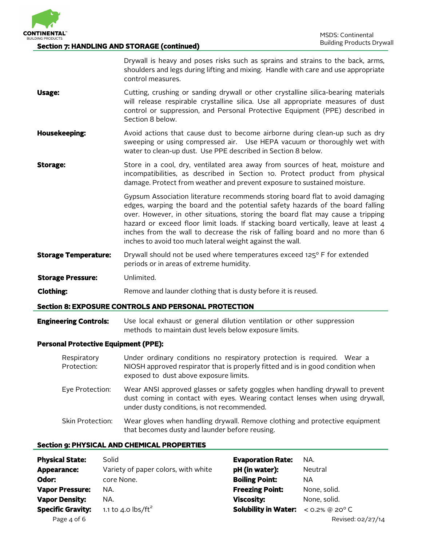

#### **Section 7: HANDLING AND STORAGE (continued)**

Drywall is heavy and poses risks such as sprains and strains to the back, arms, shoulders and legs during lifting and mixing. Handle with care and use appropriate control measures.

- **Usage:** Cutting, crushing or sanding drywall or other crystalline silica-bearing materials will release respirable crystalline silica. Use all appropriate measures of dust control or suppression, and Personal Protective Equipment (PPE) described in Section 8 below.
- **Housekeeping:** Avoid actions that cause dust to become airborne during clean-up such as dry sweeping or using compressed air. Use HEPA vacuum or thoroughly wet with water to clean-up dust. Use PPE described in Section 8 below.
- **Storage:** Store in a cool, dry, ventilated area away from sources of heat, moisture and incompatibilities, as described in Section 10. Protect product from physical damage. Protect from weather and prevent exposure to sustained moisture.

Gypsum Association literature recommends storing board flat to avoid damaging edges, warping the board and the potential safety hazards of the board falling over. However, in other situations, storing the board flat may cause a tripping hazard or exceed floor limit loads. If stacking board vertically, leave at least 4 inches from the wall to decrease the risk of falling board and no more than 6 inches to avoid too much lateral weight against the wall.

- **Storage Temperature:** Drywall should not be used where temperatures exceed 125° F for extended periods or in areas of extreme humidity.
- **Storage Pressure:** Unlimited.
- **Clothing: Remove and launder clothing that is dusty before it is reused.**

#### **Section 8: EXPOSURE CONTROLS AND PERSONAL PROTECTION**

**Engineering Controls:** Use local exhaust or general dilution ventilation or other suppression methods to maintain dust levels below exposure limits.

#### **Personal Protective Equipment (PPE):**

| Respiratory<br>Protection: | Under ordinary conditions no respiratory protection is required. Wear a<br>NIOSH approved respirator that is properly fitted and is in good condition when<br>exposed to dust above exposure limits.         |
|----------------------------|--------------------------------------------------------------------------------------------------------------------------------------------------------------------------------------------------------------|
| Eye Protection:            | Wear ANSI approved glasses or safety goggles when handling drywall to prevent<br>dust coming in contact with eyes. Wearing contact lenses when using drywall,<br>under dusty conditions, is not recommended. |
| Skin Protection:           | Wear gloves when handling drywall. Remove clothing and protective equipment<br>that becomes dusty and launder before reusing.                                                                                |

# **Section 9: PHYSICAL AND CHEMICAL PROPERTIES**

| <b>Physical State:</b>   | Solid                                                   | <b>Evaporation Rate:</b>    | NA.                        |
|--------------------------|---------------------------------------------------------|-----------------------------|----------------------------|
| Appearance:              | Variety of paper colors, with white                     | pH (in water):              | Neutral                    |
| Odor:                    | core None.                                              | <b>Boiling Point:</b>       | NA.                        |
| <b>Vapor Pressure:</b>   | NA.                                                     | <b>Freezing Point:</b>      | None, solid.               |
| <b>Vapor Density:</b>    | NA.                                                     | <b>Viscosity:</b>           | None, solid.               |
| <b>Specific Gravity:</b> | 1.1 to 4.0 $\frac{\text{d}}{\text{b}}$ /ft <sup>2</sup> | <b>Solubility in Water:</b> | $<$ 0.2% @ 20 $^{\circ}$ C |
| Page 4 of 6              |                                                         |                             | Revised: 02/27/14          |

| <b>Evaporation Rate:</b>                               | NA.          |
|--------------------------------------------------------|--------------|
| pH (in water):                                         | Neutral      |
| <b>Boiling Point:</b>                                  | NА           |
| <b>Freezing Point:</b>                                 | None, solid. |
| <b>Viscosity:</b>                                      | None, solid. |
| <b>Solubility in Water:</b> < $0.2\%$ @ $20^{\circ}$ C |              |
|                                                        |              |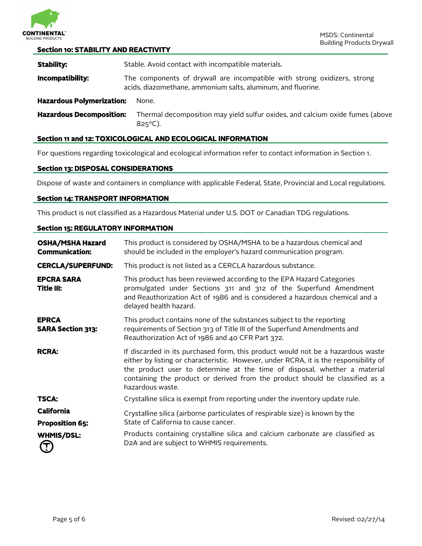

#### **Section 10: STABILITY AND REACTIVITY**

**Stability:** Stable. Avoid contact with incompatible materials. **Incompatibility:** The components of drywall are incompatible with strong oxidizers, strong acids, diazomethane, ammonium salts, aluminum, and fluorine. **Hazardous Polymerization:** None. **Hazardous Decomposition:** Thermal decomposition may yield sulfur oxides, and calcium oxide fumes (above 825ºC).

# **Section 11 and 12: TOXICOLOGICAL AND ECOLOGICAL INFORMATION**

For questions regarding toxicological and ecological information refer to contact information in Section 1.

#### **Section 13: DISPOSAL CONSIDERATIONS**

Dispose of waste and containers in compliance with applicable Federal, State, Provincial and Local regulations.

#### **Section 14: TRANSPORT INFORMATION**

This product is not classified as a Hazardous Material under U.S. DOT or Canadian TDG regulations.

#### **Section 15: REGULATORY INFORMATION**

| <b>OSHA/MSHA Hazard</b><br><b>Communication:</b> | This product is considered by OSHA/MSHA to be a hazardous chemical and<br>should be included in the employer's hazard communication program.                                                                                                                                                                                                              |
|--------------------------------------------------|-----------------------------------------------------------------------------------------------------------------------------------------------------------------------------------------------------------------------------------------------------------------------------------------------------------------------------------------------------------|
| <b>CERCLA/SUPERFUND:</b>                         | This product is not listed as a CERCLA hazardous substance.                                                                                                                                                                                                                                                                                               |
| <b>EPCRA SARA</b><br>Title III:                  | This product has been reviewed according to the EPA Hazard Categories<br>promulgated under Sections 311 and 312 of the Superfund Amendment<br>and Reauthorization Act of 1986 and is considered a hazardous chemical and a<br>delayed health hazard.                                                                                                      |
| <b>EPRCA</b><br><b>SARA Section 313:</b>         | This product contains none of the substances subject to the reporting<br>requirements of Section 313 of Title III of the Superfund Amendments and<br>Reauthorization Act of 1986 and 40 CFR Part 372.                                                                                                                                                     |
| <b>RCRA:</b>                                     | If discarded in its purchased form, this product would not be a hazardous waste<br>either by listing or characteristic. However, under RCRA, it is the responsibility of<br>the product user to determine at the time of disposal, whether a material<br>containing the product or derived from the product should be classified as a<br>hazardous waste. |
| <b>TSCA:</b>                                     | Crystalline silica is exempt from reporting under the inventory update rule.                                                                                                                                                                                                                                                                              |
| <b>California</b>                                | Crystalline silica (airborne particulates of respirable size) is known by the                                                                                                                                                                                                                                                                             |
| <b>Proposition 65:</b>                           | State of California to cause cancer.                                                                                                                                                                                                                                                                                                                      |
| <b>WHMIS/DSL:</b><br>$\bf{L}$                    | Products containing crystalline silica and calcium carbonate are classified as<br>D2A and are subject to WHMIS requirements.                                                                                                                                                                                                                              |